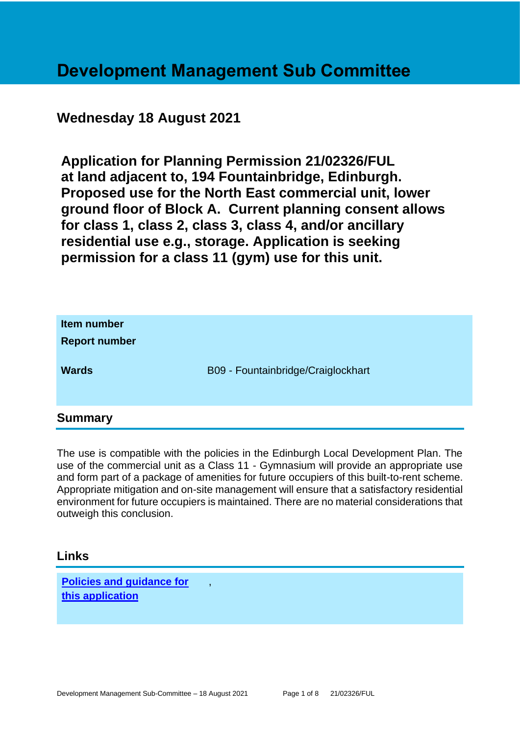# **Development Management Sub Committee**

### **Wednesday 18 August 2021**

**Application for Planning Permission 21/02326/FUL at land adjacent to, 194 Fountainbridge, Edinburgh. Proposed use for the North East commercial unit, lower ground floor of Block A. Current planning consent allows for class 1, class 2, class 3, class 4, and/or ancillary residential use e.g., storage. Application is seeking permission for a class 11 (gym) use for this unit.**

| Item number<br><b>Report number</b> |                                    |
|-------------------------------------|------------------------------------|
| <b>Wards</b>                        | B09 - Fountainbridge/Craiglockhart |
| <b>Summary</b>                      |                                    |

The use is compatible with the policies in the Edinburgh Local Development Plan. The use of the commercial unit as a Class 11 - Gymnasium will provide an appropriate use and form part of a package of amenities for future occupiers of this built-to-rent scheme. Appropriate mitigation and on-site management will ensure that a satisfactory residential environment for future occupiers is maintained. There are no material considerations that outweigh this conclusion.

### **Links**

**[Policies and guidance for](file:///C:/uniform/temp/uf04148.rtf%23Policies)  [this application](file:///C:/uniform/temp/uf04148.rtf%23Policies)**

,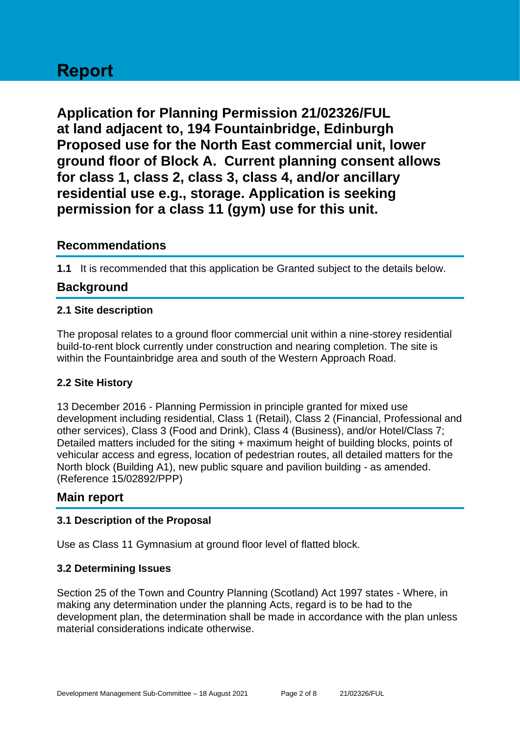# **Report**

**Application for Planning Permission 21/02326/FUL at land adjacent to, 194 Fountainbridge, Edinburgh Proposed use for the North East commercial unit, lower ground floor of Block A. Current planning consent allows for class 1, class 2, class 3, class 4, and/or ancillary residential use e.g., storage. Application is seeking permission for a class 11 (gym) use for this unit.**

### **Recommendations**

**1.1** It is recommended that this application be Granted subject to the details below.

### **Background**

### **2.1 Site description**

The proposal relates to a ground floor commercial unit within a nine-storey residential build-to-rent block currently under construction and nearing completion. The site is within the Fountainbridge area and south of the Western Approach Road.

### **2.2 Site History**

13 December 2016 - Planning Permission in principle granted for mixed use development including residential, Class 1 (Retail), Class 2 (Financial, Professional and other services), Class 3 (Food and Drink), Class 4 (Business), and/or Hotel/Class 7; Detailed matters included for the siting + maximum height of building blocks, points of vehicular access and egress, location of pedestrian routes, all detailed matters for the North block (Building A1), new public square and pavilion building - as amended. (Reference 15/02892/PPP)

### **Main report**

### **3.1 Description of the Proposal**

Use as Class 11 Gymnasium at ground floor level of flatted block.

### **3.2 Determining Issues**

Section 25 of the Town and Country Planning (Scotland) Act 1997 states - Where, in making any determination under the planning Acts, regard is to be had to the development plan, the determination shall be made in accordance with the plan unless material considerations indicate otherwise.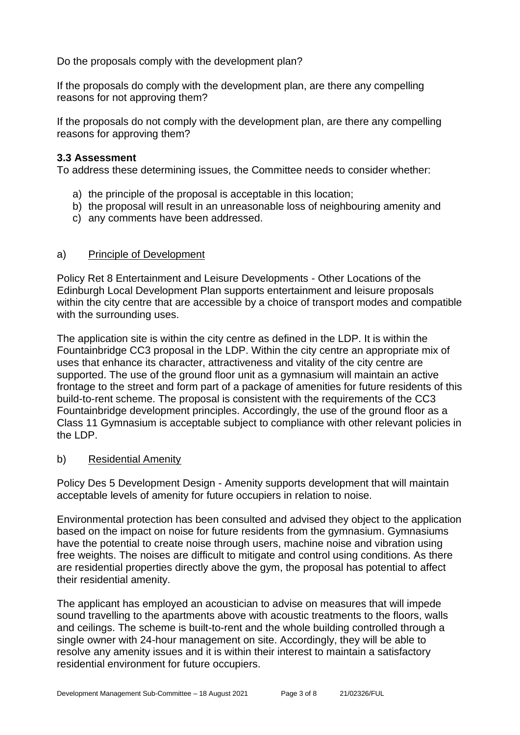Do the proposals comply with the development plan?

If the proposals do comply with the development plan, are there any compelling reasons for not approving them?

If the proposals do not comply with the development plan, are there any compelling reasons for approving them?

### **3.3 Assessment**

To address these determining issues, the Committee needs to consider whether:

- a) the principle of the proposal is acceptable in this location;
- b) the proposal will result in an unreasonable loss of neighbouring amenity and
- c) any comments have been addressed.

### a) Principle of Development

Policy Ret 8 Entertainment and Leisure Developments - Other Locations of the Edinburgh Local Development Plan supports entertainment and leisure proposals within the city centre that are accessible by a choice of transport modes and compatible with the surrounding uses.

The application site is within the city centre as defined in the LDP. It is within the Fountainbridge CC3 proposal in the LDP. Within the city centre an appropriate mix of uses that enhance its character, attractiveness and vitality of the city centre are supported. The use of the ground floor unit as a gymnasium will maintain an active frontage to the street and form part of a package of amenities for future residents of this build-to-rent scheme. The proposal is consistent with the requirements of the CC3 Fountainbridge development principles. Accordingly, the use of the ground floor as a Class 11 Gymnasium is acceptable subject to compliance with other relevant policies in the LDP.

### b) Residential Amenity

Policy Des 5 Development Design - Amenity supports development that will maintain acceptable levels of amenity for future occupiers in relation to noise.

Environmental protection has been consulted and advised they object to the application based on the impact on noise for future residents from the gymnasium. Gymnasiums have the potential to create noise through users, machine noise and vibration using free weights. The noises are difficult to mitigate and control using conditions. As there are residential properties directly above the gym, the proposal has potential to affect their residential amenity.

The applicant has employed an acoustician to advise on measures that will impede sound travelling to the apartments above with acoustic treatments to the floors, walls and ceilings. The scheme is built-to-rent and the whole building controlled through a single owner with 24-hour management on site. Accordingly, they will be able to resolve any amenity issues and it is within their interest to maintain a satisfactory residential environment for future occupiers.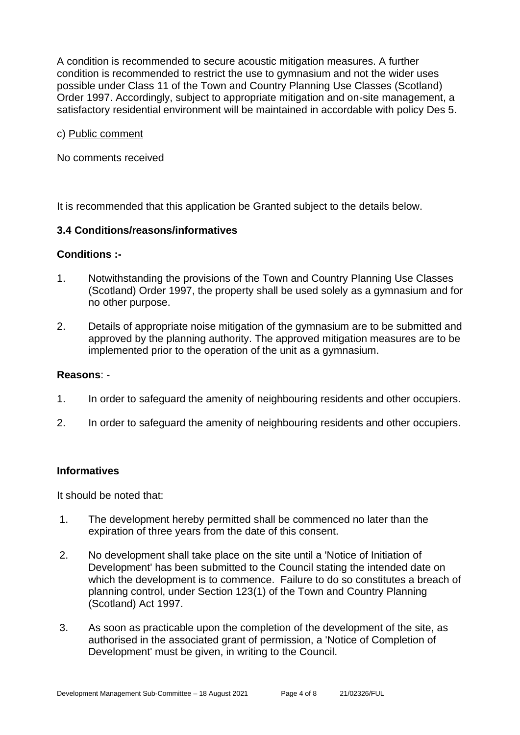A condition is recommended to secure acoustic mitigation measures. A further condition is recommended to restrict the use to gymnasium and not the wider uses possible under Class 11 of the Town and Country Planning Use Classes (Scotland) Order 1997. Accordingly, subject to appropriate mitigation and on-site management, a satisfactory residential environment will be maintained in accordable with policy Des 5.

#### c) Public comment

No comments received

It is recommended that this application be Granted subject to the details below.

#### **3.4 Conditions/reasons/informatives**

#### **Conditions :-**

- 1. Notwithstanding the provisions of the Town and Country Planning Use Classes (Scotland) Order 1997, the property shall be used solely as a gymnasium and for no other purpose.
- 2. Details of appropriate noise mitigation of the gymnasium are to be submitted and approved by the planning authority. The approved mitigation measures are to be implemented prior to the operation of the unit as a gymnasium.

#### **Reasons**: -

- 1. In order to safeguard the amenity of neighbouring residents and other occupiers.
- 2. In order to safeguard the amenity of neighbouring residents and other occupiers.

### **Informatives**

It should be noted that:

- 1. The development hereby permitted shall be commenced no later than the expiration of three years from the date of this consent.
- 2. No development shall take place on the site until a 'Notice of Initiation of Development' has been submitted to the Council stating the intended date on which the development is to commence. Failure to do so constitutes a breach of planning control, under Section 123(1) of the Town and Country Planning (Scotland) Act 1997.
- 3. As soon as practicable upon the completion of the development of the site, as authorised in the associated grant of permission, a 'Notice of Completion of Development' must be given, in writing to the Council.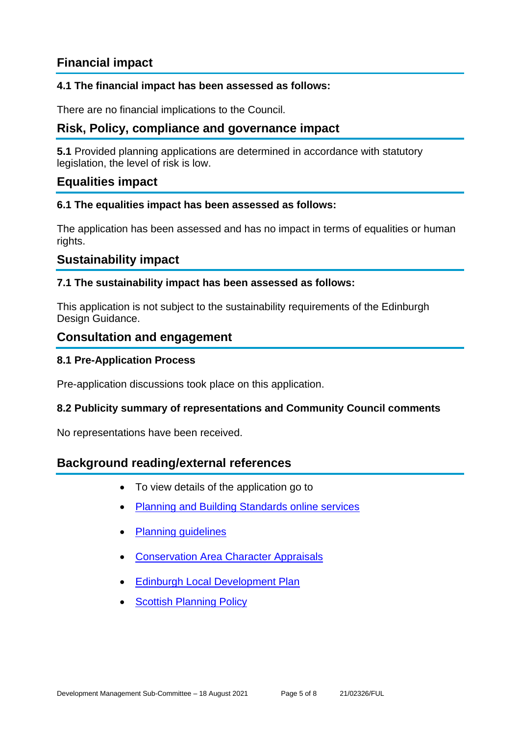### **Financial impact**

### **4.1 The financial impact has been assessed as follows:**

There are no financial implications to the Council.

### **Risk, Policy, compliance and governance impact**

**5.1** Provided planning applications are determined in accordance with statutory legislation, the level of risk is low.

### **Equalities impact**

#### **6.1 The equalities impact has been assessed as follows:**

The application has been assessed and has no impact in terms of equalities or human rights.

### **Sustainability impact**

### **7.1 The sustainability impact has been assessed as follows:**

This application is not subject to the sustainability requirements of the Edinburgh Design Guidance.

### **Consultation and engagement**

### **8.1 Pre-Application Process**

Pre-application discussions took place on this application.

### **8.2 Publicity summary of representations and Community Council comments**

No representations have been received.

### **Background reading/external references**

- To view details of the application go to
- [Planning and Building Standards online services](https://citydev-portal.edinburgh.gov.uk/idoxpa-web/search.do?action=simple&searchType=Application)
- [Planning guidelines](http://www.edinburgh.gov.uk/planningguidelines)
- [Conservation Area Character Appraisals](http://www.edinburgh.gov.uk/characterappraisals)
- [Edinburgh Local Development Plan](http://www.edinburgh.gov.uk/localdevelopmentplan)
- **[Scottish Planning Policy](http://www.scotland.gov.uk/Topics/Built-Environment/planning/Policy)**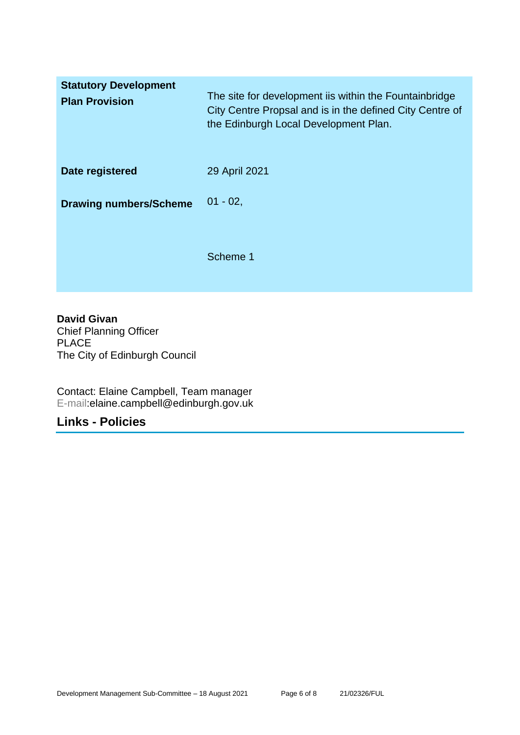| <b>Statutory Development</b><br><b>Plan Provision</b> | The site for development iis within the Fountainbridge<br>City Centre Propsal and is in the defined City Centre of<br>the Edinburgh Local Development Plan. |
|-------------------------------------------------------|-------------------------------------------------------------------------------------------------------------------------------------------------------------|
| Date registered                                       | 29 April 2021                                                                                                                                               |
| <b>Drawing numbers/Scheme</b>                         | $01 - 02$ ,                                                                                                                                                 |
|                                                       | Scheme 1                                                                                                                                                    |

### **David Givan**

Chief Planning Officer PLACE The City of Edinburgh Council

Contact: Elaine Campbell, Team manager E-mail:elaine.campbell@edinburgh.gov.uk

### **Links - Policies**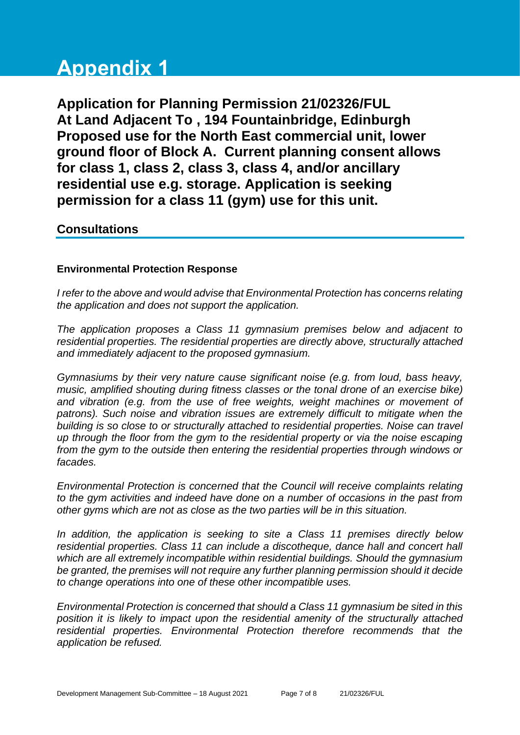# **Appendix 1**

**Application for Planning Permission 21/02326/FUL At Land Adjacent To , 194 Fountainbridge, Edinburgh Proposed use for the North East commercial unit, lower ground floor of Block A. Current planning consent allows for class 1, class 2, class 3, class 4, and/or ancillary residential use e.g. storage. Application is seeking permission for a class 11 (gym) use for this unit.**

### **Consultations**

### **Environmental Protection Response**

*I refer to the above and would advise that Environmental Protection has concerns relating the application and does not support the application.*

*The application proposes a Class 11 gymnasium premises below and adjacent to residential properties. The residential properties are directly above, structurally attached and immediately adjacent to the proposed gymnasium.* 

*Gymnasiums by their very nature cause significant noise (e.g. from loud, bass heavy, music, amplified shouting during fitness classes or the tonal drone of an exercise bike)*  and vibration (e.g. from the use of free weights, weight machines or movement of *patrons). Such noise and vibration issues are extremely difficult to mitigate when the building is so close to or structurally attached to residential properties. Noise can travel up through the floor from the gym to the residential property or via the noise escaping from the gym to the outside then entering the residential properties through windows or facades.* 

*Environmental Protection is concerned that the Council will receive complaints relating to the gym activities and indeed have done on a number of occasions in the past from other gyms which are not as close as the two parties will be in this situation.*

*In addition, the application is seeking to site a Class 11 premises directly below residential properties. Class 11 can include a discotheque, dance hall and concert hall which are all extremely incompatible within residential buildings. Should the gymnasium be granted, the premises will not require any further planning permission should it decide to change operations into one of these other incompatible uses.*

*Environmental Protection is concerned that should a Class 11 gymnasium be sited in this position it is likely to impact upon the residential amenity of the structurally attached*  residential properties. Environmental Protection therefore recommends that the *application be refused.*